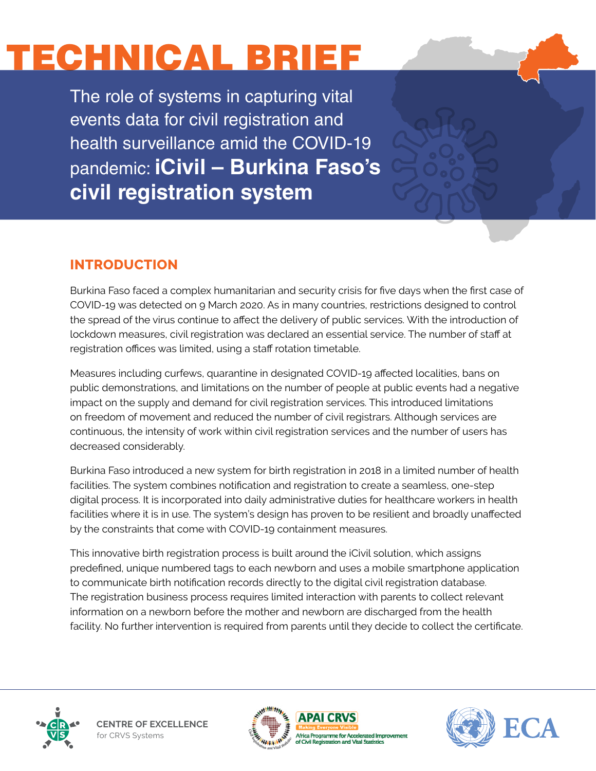# ECHNICAL BRIEF

The role of systems in capturing vital events data for civil registration and health surveillance amid the COVID-19 pandemic: **iCivil – Burkina Faso's civil registration system**

# **INTRODUCTION**

Burkina Faso faced a complex humanitarian and security crisis for five days when the first case of COVID-19 was detected on 9 March 2020. As in many countries, restrictions designed to control the spread of the virus continue to affect the delivery of public services. With the introduction of lockdown measures, civil registration was declared an essential service. The number of staff at registration offices was limited, using a staff rotation timetable.

Measures including curfews, quarantine in designated COVID-19 affected localities, bans on public demonstrations, and limitations on the number of people at public events had a negative impact on the supply and demand for civil registration services. This introduced limitations on freedom of movement and reduced the number of civil registrars. Although services are continuous, the intensity of work within civil registration services and the number of users has decreased considerably.

Burkina Faso introduced a new system for birth registration in 2018 in a limited number of health facilities. The system combines notification and registration to create a seamless, one-step digital process. It is incorporated into daily administrative duties for healthcare workers in health facilities where it is in use. The system's design has proven to be resilient and broadly unaffected by the constraints that come with COVID-19 containment measures.

This innovative birth registration process is built around the iCivil solution, which assigns predefined, unique numbered tags to each newborn and uses a mobile smartphone application to communicate birth notification records directly to the digital civil registration database. The registration business process requires limited interaction with parents to collect relevant information on a newborn before the mother and newborn are discharged from the health facility. No further intervention is required from parents until they decide to collect the certificate.



**CENTRE OF EXCELLENCE** for CRVS Systems



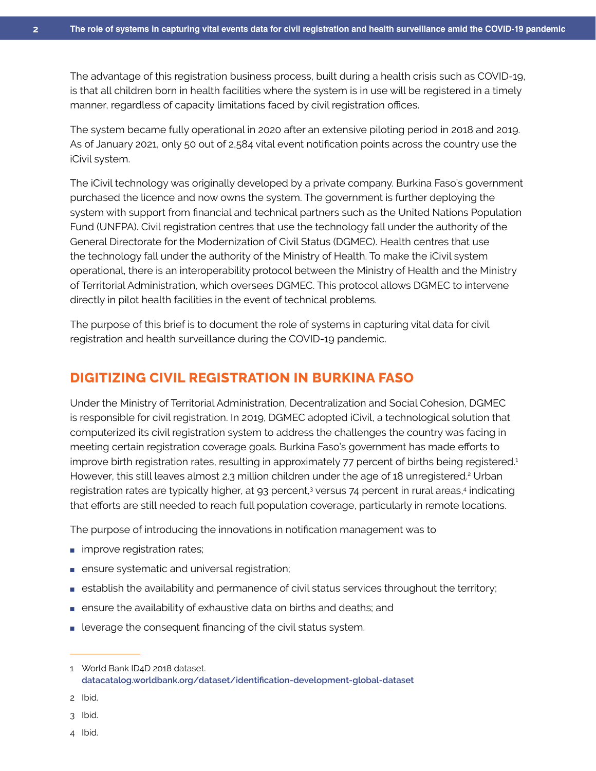The advantage of this registration business process, built during a health crisis such as COVID-19, is that all children born in health facilities where the system is in use will be registered in a timely manner, regardless of capacity limitations faced by civil registration offices.

The system became fully operational in 2020 after an extensive piloting period in 2018 and 2019. As of January 2021, only 50 out of 2,584 vital event notification points across the country use the iCivil system.

The iCivil technology was originally developed by a private company. Burkina Faso's government purchased the licence and now owns the system. The government is further deploying the system with support from financial and technical partners such as the United Nations Population Fund (UNFPA). Civil registration centres that use the technology fall under the authority of the General Directorate for the Modernization of Civil Status (DGMEC). Health centres that use the technology fall under the authority of the Ministry of Health. To make the iCivil system operational, there is an interoperability protocol between the Ministry of Health and the Ministry of Territorial Administration, which oversees DGMEC. This protocol allows DGMEC to intervene directly in pilot health facilities in the event of technical problems.

The purpose of this brief is to document the role of systems in capturing vital data for civil registration and health surveillance during the COVID-19 pandemic.

### **DIGITIZING CIVIL REGISTRATION IN BURKINA FASO**

Under the Ministry of Territorial Administration, Decentralization and Social Cohesion, DGMEC is responsible for civil registration. In 2019, DGMEC adopted iCivil, a technological solution that computerized its civil registration system to address the challenges the country was facing in meeting certain registration coverage goals. Burkina Faso's government has made efforts to improve birth registration rates, resulting in approximately 77 percent of births being registered.<sup>1</sup> However, this still leaves almost 2.3 million children under the age of 18 unregistered.<sup>2</sup> Urban registration rates are typically higher, at 93 percent,<sup>3</sup> versus 74 percent in rural areas,<sup>4</sup> indicating that efforts are still needed to reach full population coverage, particularly in remote locations.

The purpose of introducing the innovations in notification management was to

- improve registration rates;
- ensure systematic and universal registration;
- establish the availability and permanence of civil status services throughout the territory;
- ensure the availability of exhaustive data on births and deaths; and
- leverage the consequent financing of the civil status system.

<sup>1</sup> World Bank ID4D 2018 dataset. **[datacatalog.worldbank.org/dataset/identification-development-global-dataset](https://datacatalog.worldbank.org/dataset/identification-development-global-dataset)**

<sup>2</sup> Ibid.

<sup>3</sup> Ibid.

<sup>4</sup> Ibid.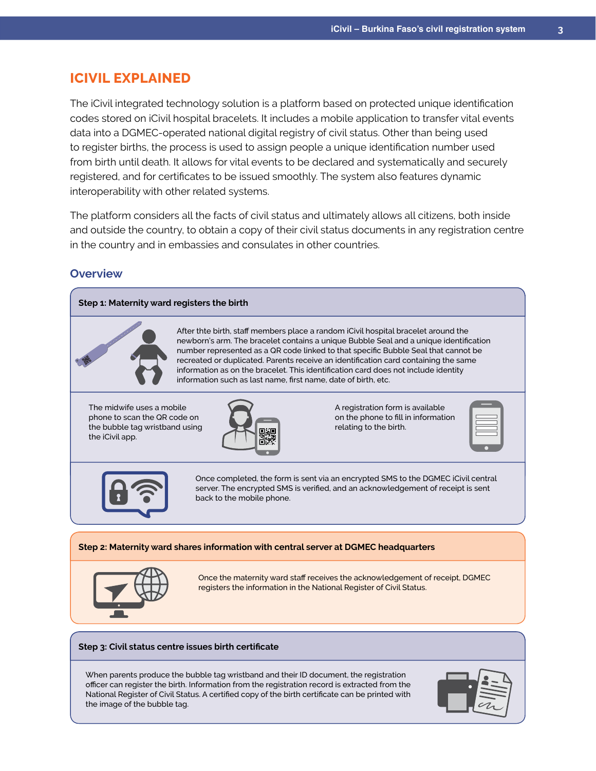## **ICIVIL EXPLAINED**

The iCivil integrated technology solution is a platform based on protected unique identification codes stored on iCivil hospital bracelets. It includes a mobile application to transfer vital events data into a DGMEC-operated national digital registry of civil status. Other than being used to register births, the process is used to assign people a unique identification number used from birth until death. It allows for vital events to be declared and systematically and securely registered, and for certificates to be issued smoothly. The system also features dynamic interoperability with other related systems.

The platform considers all the facts of civil status and ultimately allows all citizens, both inside and outside the country, to obtain a copy of their civil status documents in any registration centre in the country and in embassies and consulates in other countries.

#### **Overview**



officer can register the birth. Information from the registration record is extracted from the National Register of Civil Status. A certified copy of the birth certificate can be printed with the image of the bubble tag.

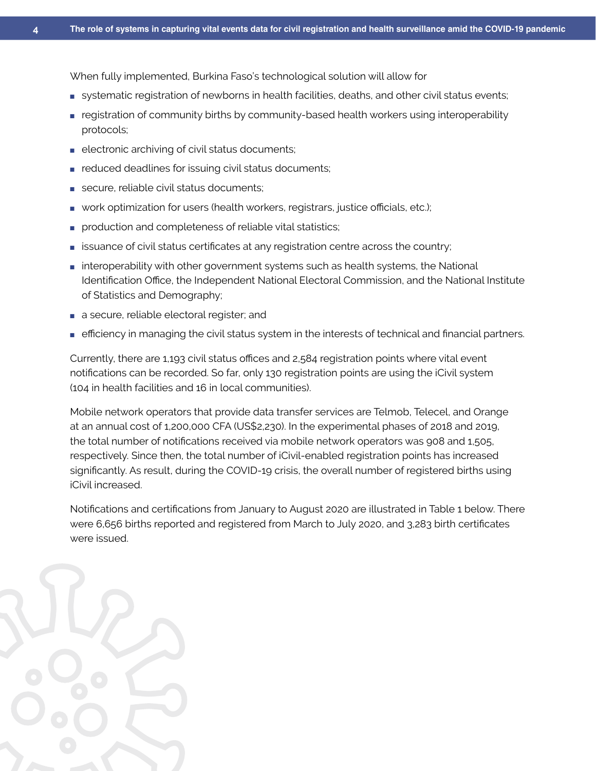When fully implemented, Burkina Faso's technological solution will allow for

- systematic registration of newborns in health facilities, deaths, and other civil status events;
- registration of community births by community-based health workers using interoperability protocols;
- electronic archiving of civil status documents;
- reduced deadlines for issuing civil status documents;
- secure, reliable civil status documents;
- work optimization for users (health workers, registrars, justice officials, etc.);
- production and completeness of reliable vital statistics;
- issuance of civil status certificates at any registration centre across the country;
- interoperability with other government systems such as health systems, the National Identification Office, the Independent National Electoral Commission, and the National Institute of Statistics and Demography;
- a secure, reliable electoral register; and
- efficiency in managing the civil status system in the interests of technical and financial partners.

Currently, there are 1,193 civil status offices and 2,584 registration points where vital event notifications can be recorded. So far, only 130 registration points are using the iCivil system (104 in health facilities and 16 in local communities).

Mobile network operators that provide data transfer services are Telmob, Telecel, and Orange at an annual cost of 1,200,000 CFA (US\$2,230). In the experimental phases of 2018 and 2019, the total number of notifications received via mobile network operators was 908 and 1,505, respectively. Since then, the total number of iCivil-enabled registration points has increased significantly. As result, during the COVID-19 crisis, the overall number of registered births using iCivil increased.

Notifications and certifications from January to August 2020 are illustrated in Table 1 below. There were 6,656 births reported and registered from March to July 2020, and 3,283 birth certificates were issued.

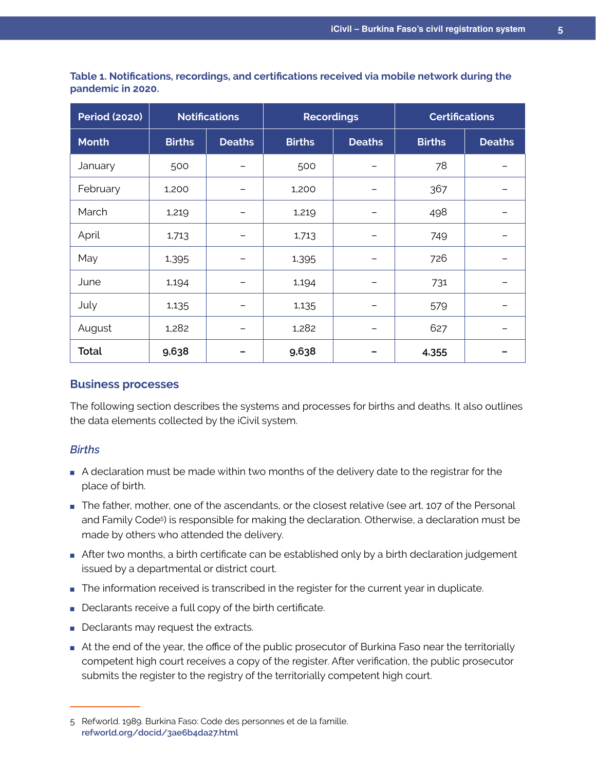| <b>Period (2020)</b> | <b>Notifications</b> |               | <b>Recordings</b> |               | <b>Certifications</b> |               |
|----------------------|----------------------|---------------|-------------------|---------------|-----------------------|---------------|
| <b>Month</b>         | <b>Births</b>        | <b>Deaths</b> | <b>Births</b>     | <b>Deaths</b> | <b>Births</b>         | <b>Deaths</b> |
| January              | 500                  |               | 500               |               | 78                    |               |
| February             | 1,200                |               | 1,200             |               | 367                   |               |
| March                | 1,219                |               | 1,219             |               | 498                   |               |
| April                | 1,713                |               | 1,713             |               | 749                   |               |
| May                  | 1,395                |               | 1,395             |               | 726                   |               |
| June                 | 1,194                |               | 1,194             |               | 731                   |               |
| July                 | 1,135                |               | 1,135             |               | 579                   |               |
| August               | 1,282                |               | 1,282             |               | 627                   |               |
| <b>Total</b>         | 9,638                |               | 9,638             |               | 4,355                 |               |

**Table 1. Notifications, recordings, and certifications received via mobile network during the pandemic in 2020.**

#### **Business processes**

The following section describes the systems and processes for births and deaths. It also outlines the data elements collected by the iCivil system.

#### *Births*

- A declaration must be made within two months of the delivery date to the registrar for the place of birth.
- The father, mother, one of the ascendants, or the closest relative (see art. 107 of the Personal and Family Code<sup>5</sup>) is responsible for making the declaration. Otherwise, a declaration must be made by others who attended the delivery.
- After two months, a birth certificate can be established only by a birth declaration judgement issued by a departmental or district court.
- The information received is transcribed in the register for the current year in duplicate.
- Declarants receive a full copy of the birth certificate.
- Declarants may request the extracts.
- At the end of the year, the office of the public prosecutor of Burkina Faso near the territorially competent high court receives a copy of the register. After verification, the public prosecutor submits the register to the registry of the territorially competent high court.

<sup>5</sup> Refworld. 1989. Burkina Faso: Code des personnes et de la famille. **[refworld.org/docid/3ae6b4da27.html](https://www.refworld.org/docid/3ae6b4da27.html)**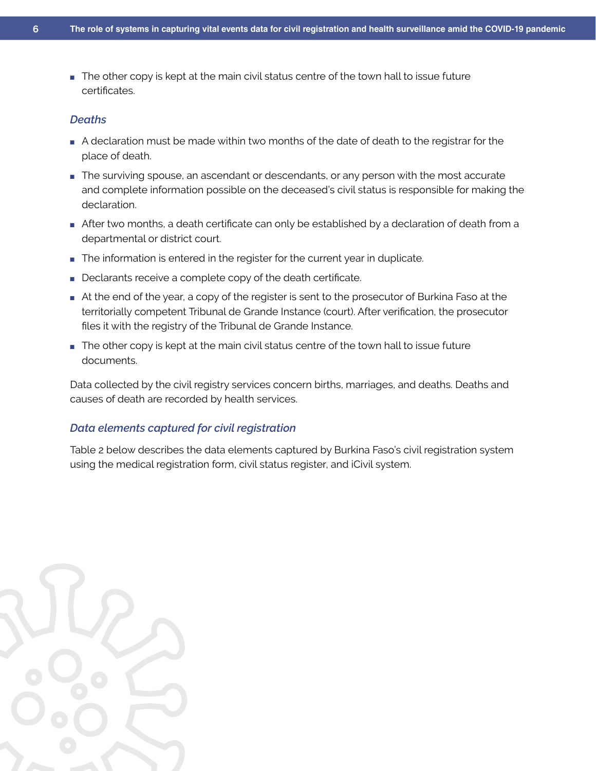■ The other copy is kept at the main civil status centre of the town hall to issue future certificates.

#### *Deaths*

- A declaration must be made within two months of the date of death to the registrar for the place of death.
- The surviving spouse, an ascendant or descendants, or any person with the most accurate and complete information possible on the deceased's civil status is responsible for making the declaration.
- After two months, a death certificate can only be established by a declaration of death from a departmental or district court.
- The information is entered in the register for the current year in duplicate.
- Declarants receive a complete copy of the death certificate.
- At the end of the year, a copy of the register is sent to the prosecutor of Burkina Faso at the territorially competent Tribunal de Grande Instance (court). After verification, the prosecutor files it with the registry of the Tribunal de Grande Instance.
- The other copy is kept at the main civil status centre of the town hall to issue future documents.

Data collected by the civil registry services concern births, marriages, and deaths. Deaths and causes of death are recorded by health services.

#### *Data elements captured for civil registration*

Table 2 below describes the data elements captured by Burkina Faso's civil registration system using the medical registration form, civil status register, and iCivil system.

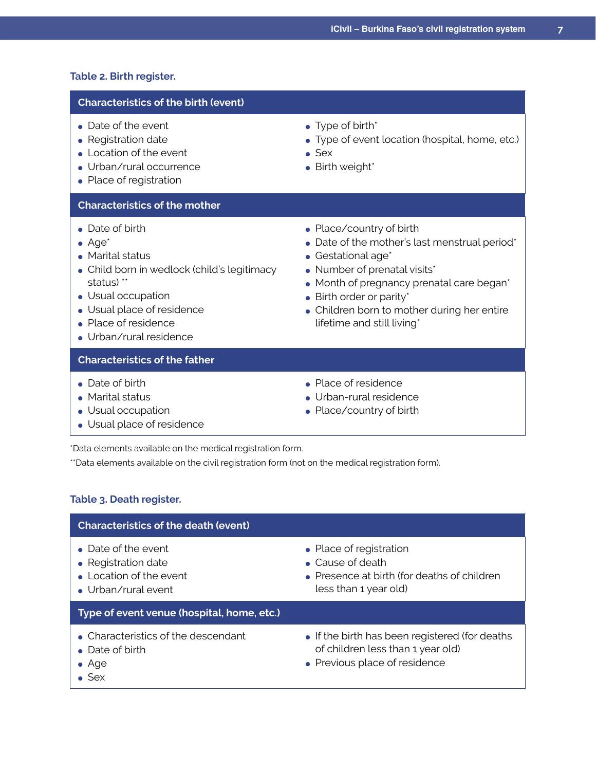#### **Table 2. Birth register.**

#### **Characteristics of the birth (event)**

- Date of the event
- Registration date
- $\bullet$  Location of the event
- Urban/rural occurrence
- Place of registration

#### **Characteristics of the mother**

- $\bullet$  Date of birth
- $\bullet$  Age<sup>\*</sup>
- Marital status
- Child born in wedlock (child's legitimacy status) \*\*
- Usual occupation
- Usual place of residence
- Place of residence
- Urban/rural residence

#### **Characteristics of the father**

- Date of birth
- Marital status
- Usual occupation
- Usual place of residence
- $\bullet$  Place/country of birth
- Date of the mother's last menstrual period\*

• Type of event location (hospital, home, etc.)

 $\bullet$  Gestational age\*

 $\bullet$  Type of birth\*

• Birth weight\*

 $\bullet$  Sex

- Number of prenatal visits\*
- Month of pregnancy prenatal care began\*
- $\bullet$  Birth order or parity\*
- Children born to mother during her entire lifetime and still living\*
- Place of residence
- Urban-rural residence
- Place/country of birth

\*Data elements available on the medical registration form.

\*\*Data elements available on the civil registration form (not on the medical registration form).

#### **Table 3. Death register.**

#### **Characteristics of the death (event)**  $\bullet$  Date of the event • Registration date ● Location of the event • Urban/rural event • Place of registration ● Cause of death • Presence at birth (for deaths of children) less than 1 year old) **Type of event venue (hospital, home, etc.)** • Characteristics of the descendant • Date of birth ● Age ● Sex • If the birth has been registered (for deaths of children less than 1 year old) • Previous place of residence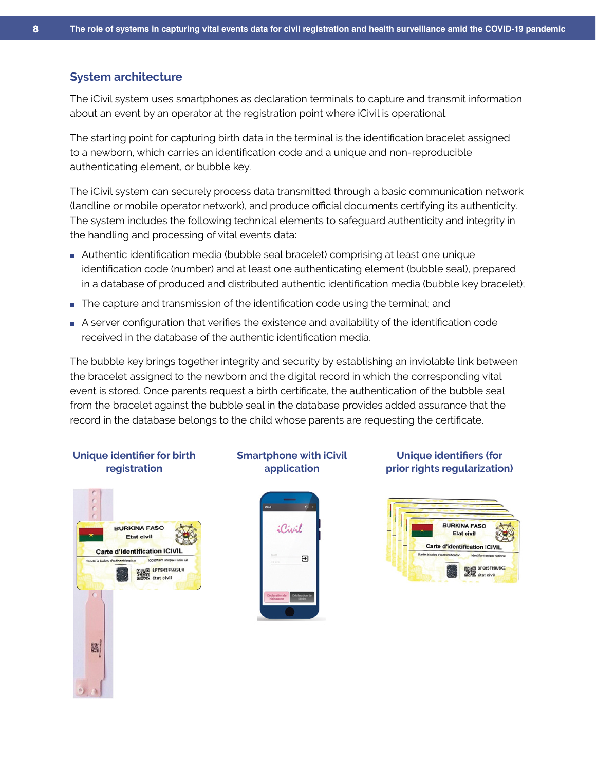#### **System architecture**

The iCivil system uses smartphones as declaration terminals to capture and transmit information about an event by an operator at the registration point where iCivil is operational.

The starting point for capturing birth data in the terminal is the identification bracelet assigned to a newborn, which carries an identification code and a unique and non-reproducible authenticating element, or bubble key.

The iCivil system can securely process data transmitted through a basic communication network (landline or mobile operator network), and produce official documents certifying its authenticity. The system includes the following technical elements to safeguard authenticity and integrity in the handling and processing of vital events data:

- Authentic identification media (bubble seal bracelet) comprising at least one unique identification code (number) and at least one authenticating element (bubble seal), prepared in a database of produced and distributed authentic identification media (bubble key bracelet);
- The capture and transmission of the identification code using the terminal; and
- A server configuration that verifies the existence and availability of the identification code received in the database of the authentic identification media.

The bubble key brings together integrity and security by establishing an inviolable link between the bracelet assigned to the newborn and the digital record in which the corresponding vital event is stored. Once parents request a birth certificate, the authentication of the bubble seal from the bracelet against the bubble seal in the database provides added assurance that the record in the database belongs to the child whose parents are requesting the certificate.

#### **Unique identifier for birth registration**



#### **Smartphone with iCivil application**



#### **Unique identifiers (for prior rights regularization)**

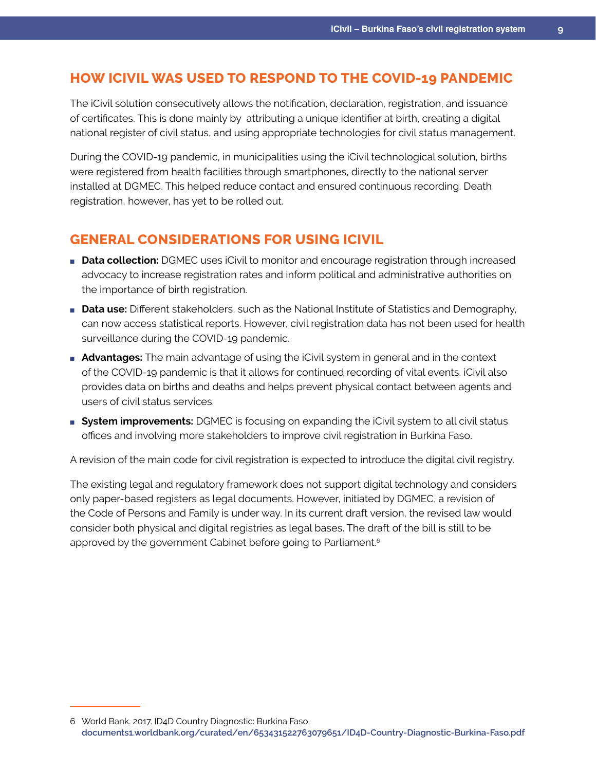## **HOW ICIVIL WAS USED TO RESPOND TO THE COVID-19 PANDEMIC**

The iCivil solution consecutively allows the notification, declaration, registration, and issuance of certificates. This is done mainly by attributing a unique identifier at birth, creating a digital national register of civil status, and using appropriate technologies for civil status management.

During the COVID-19 pandemic, in municipalities using the iCivil technological solution, births were registered from health facilities through smartphones, directly to the national server installed at DGMEC. This helped reduce contact and ensured continuous recording. Death registration, however, has yet to be rolled out.

## **GENERAL CONSIDERATIONS FOR USING ICIVIL**

- **Data collection:** DGMEC uses iCivil to monitor and encourage registration through increased advocacy to increase registration rates and inform political and administrative authorities on the importance of birth registration.
- **Data use:** Different stakeholders, such as the National Institute of Statistics and Demography, can now access statistical reports. However, civil registration data has not been used for health surveillance during the COVID-19 pandemic.
- **Advantages:** The main advantage of using the iCivil system in general and in the context of the COVID-19 pandemic is that it allows for continued recording of vital events. iCivil also provides data on births and deaths and helps prevent physical contact between agents and users of civil status services.
- **System improvements:** DGMEC is focusing on expanding the iCivil system to all civil status offices and involving more stakeholders to improve civil registration in Burkina Faso.

A revision of the main code for civil registration is expected to introduce the digital civil registry.

The existing legal and regulatory framework does not support digital technology and considers only paper-based registers as legal documents. However, initiated by DGMEC, a revision of the Code of Persons and Family is under way. In its current draft version, the revised law would consider both physical and digital registries as legal bases. The draft of the bill is still to be approved by the government Cabinet before going to Parliament.<sup>6</sup>

<sup>6</sup> World Bank. 2017. ID4D Country Diagnostic: Burkina Faso, **[documents1.worldbank.org/curated/en/653431522763079651/ID4D-Country-Diagnostic-Burkina-Faso.pdf](http://documents1.worldbank.org/curated/en/653431522763079651/ID4D-Country-Diagnostic-Burkina-Faso.pdf)**